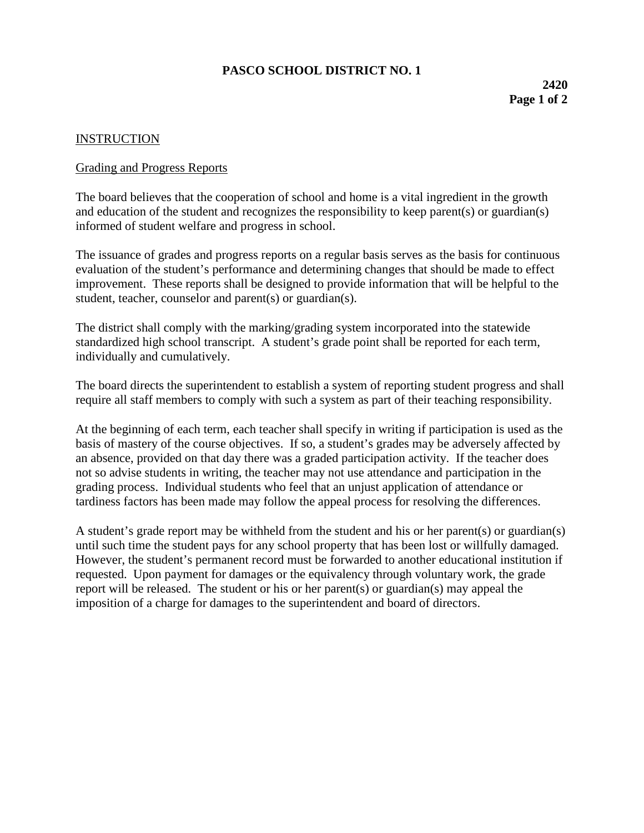## **PASCO SCHOOL DISTRICT NO. 1**

## **INSTRUCTION**

## Grading and Progress Reports

The board believes that the cooperation of school and home is a vital ingredient in the growth and education of the student and recognizes the responsibility to keep parent(s) or guardian(s) informed of student welfare and progress in school.

The issuance of grades and progress reports on a regular basis serves as the basis for continuous evaluation of the student's performance and determining changes that should be made to effect improvement. These reports shall be designed to provide information that will be helpful to the student, teacher, counselor and parent(s) or guardian(s).

The district shall comply with the marking/grading system incorporated into the statewide standardized high school transcript. A student's grade point shall be reported for each term, individually and cumulatively.

The board directs the superintendent to establish a system of reporting student progress and shall require all staff members to comply with such a system as part of their teaching responsibility.

At the beginning of each term, each teacher shall specify in writing if participation is used as the basis of mastery of the course objectives. If so, a student's grades may be adversely affected by an absence, provided on that day there was a graded participation activity. If the teacher does not so advise students in writing, the teacher may not use attendance and participation in the grading process. Individual students who feel that an unjust application of attendance or tardiness factors has been made may follow the appeal process for resolving the differences.

A student's grade report may be withheld from the student and his or her parent(s) or guardian(s) until such time the student pays for any school property that has been lost or willfully damaged. However, the student's permanent record must be forwarded to another educational institution if requested. Upon payment for damages or the equivalency through voluntary work, the grade report will be released. The student or his or her parent(s) or guardian(s) may appeal the imposition of a charge for damages to the superintendent and board of directors.